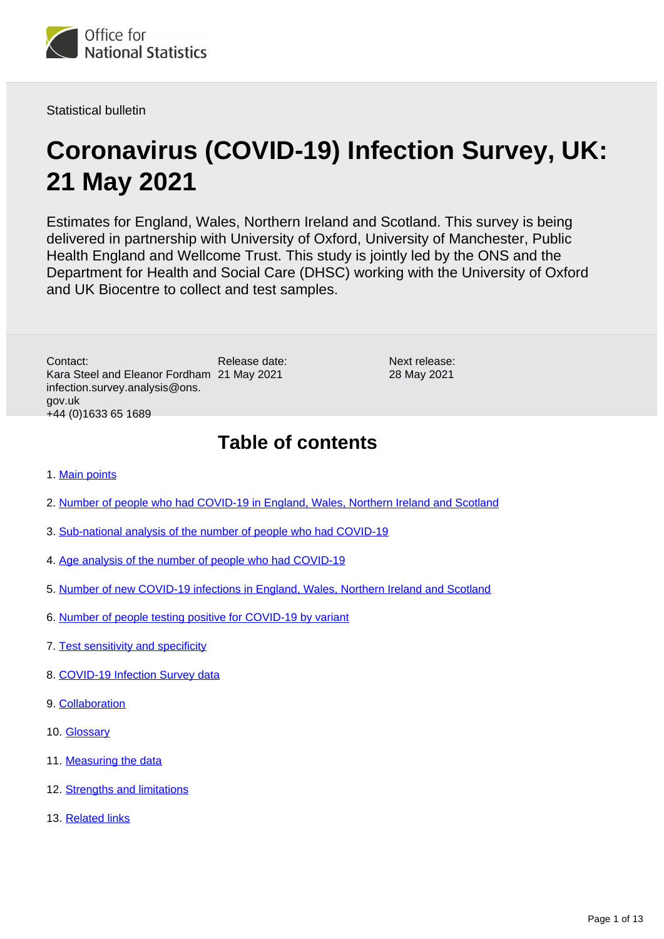

Statistical bulletin

# **Coronavirus (COVID-19) Infection Survey, UK: 21 May 2021**

Estimates for England, Wales, Northern Ireland and Scotland. This survey is being delivered in partnership with University of Oxford, University of Manchester, Public Health England and Wellcome Trust. This study is jointly led by the ONS and the Department for Health and Social Care (DHSC) working with the University of Oxford and UK Biocentre to collect and test samples.

> Next release: 28 May 2021

Release date: Kara Steel and Eleanor Fordham 21 May 2021 Contact: infection.survey.analysis@ons. gov.uk +44 (0)1633 65 1689

**Table of contents**

- 1. [Main points](#page-1-0)
- 2. [Number of people who had COVID-19 in England, Wales, Northern Ireland and Scotland](#page-2-0)
- 3. [Sub-national analysis of the number of people who had COVID-19](#page-4-0)
- 4. [Age analysis of the number of people who had COVID-19](#page-6-0)
- 5. [Number of new COVID-19 infections in England, Wales, Northern Ireland and Scotland](#page-7-0)
- 6. [Number of people testing positive for COVID-19 by variant](#page-7-1)
- 7. [Test sensitivity and specificity](#page-8-0)
- 8. [COVID-19 Infection Survey data](#page-9-0)
- 9. [Collaboration](#page-9-1)
- 10. [Glossary](#page-9-2)
- 11. [Measuring the data](#page-10-0)
- 12. [Strengths and limitations](#page-11-0)
- 13. [Related links](#page-12-0)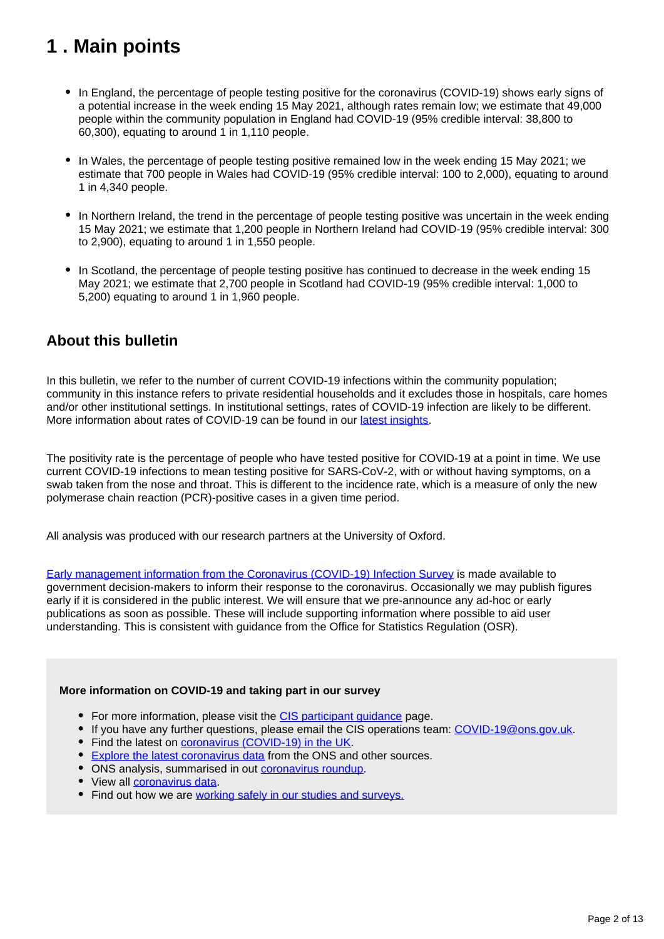## <span id="page-1-0"></span>**1 . Main points**

- In England, the percentage of people testing positive for the coronavirus (COVID-19) shows early signs of a potential increase in the week ending 15 May 2021, although rates remain low; we estimate that 49,000 people within the community population in England had COVID-19 (95% credible interval: 38,800 to 60,300), equating to around 1 in 1,110 people.
- In Wales, the percentage of people testing positive remained low in the week ending 15 May 2021; we estimate that 700 people in Wales had COVID-19 (95% credible interval: 100 to 2,000), equating to around 1 in 4,340 people.
- In Northern Ireland, the trend in the percentage of people testing positive was uncertain in the week ending 15 May 2021; we estimate that 1,200 people in Northern Ireland had COVID-19 (95% credible interval: 300 to 2,900), equating to around 1 in 1,550 people.
- In Scotland, the percentage of people testing positive has continued to decrease in the week ending 15 May 2021; we estimate that 2,700 people in Scotland had COVID-19 (95% credible interval: 1,000 to 5,200) equating to around 1 in 1,960 people.

## **About this bulletin**

In this bulletin, we refer to the number of current COVID-19 infections within the community population; community in this instance refers to private residential households and it excludes those in hospitals, care homes and/or other institutional settings. In institutional settings, rates of COVID-19 infection are likely to be different. More information about rates of COVID-19 can be found in our [latest insights](https://www.ons.gov.uk/peoplepopulationandcommunity/healthandsocialcare/conditionsanddiseases/articles/coronaviruscovid19/latestinsights).

The positivity rate is the percentage of people who have tested positive for COVID-19 at a point in time. We use current COVID-19 infections to mean testing positive for SARS-CoV-2, with or without having symptoms, on a swab taken from the nose and throat. This is different to the incidence rate, which is a measure of only the new polymerase chain reaction (PCR)-positive cases in a given time period.

All analysis was produced with our research partners at the University of Oxford.

[Early management information from the Coronavirus \(COVID-19\) Infection Survey](https://www.ons.gov.uk/news/statementsandletters/provisionofearlymanagementinformationbytheonstoinformoperationaldecisionmakingforthepublicgoodduringthecoronaviruspandemic) is made available to government decision-makers to inform their response to the coronavirus. Occasionally we may publish figures early if it is considered in the public interest. We will ensure that we pre-announce any ad-hoc or early publications as soon as possible. These will include supporting information where possible to aid user understanding. This is consistent with guidance from the Office for Statistics Regulation (OSR).

### **More information on COVID-19 and taking part in our survey**

- For more information, please visit the CIS participant quidance page.
- If you have any further questions, please email the CIS operations team: [COVID-19@ons.gov.uk](mailto:COVID-19@ons.gov.uk).
- Find the latest on [coronavirus \(COVID-19\) in the UK.](https://www.ons.gov.uk/peoplepopulationandcommunity/healthandsocialcare/conditionsanddiseases)
- [Explore the latest coronavirus data](https://www.ons.gov.uk/peoplepopulationandcommunity/healthandsocialcare/conditionsanddiseases/articles/coronaviruscovid19/latestinsights) from the ONS and other sources.
- ONS analysis, summarised in out [coronavirus roundup.](https://www.ons.gov.uk/peoplepopulationandcommunity/healthandsocialcare/conditionsanddiseases/articles/coronaviruscovid19roundup/latest)
- View all [coronavirus data](https://www.ons.gov.uk/peoplepopulationandcommunity/healthandsocialcare/conditionsanddiseases/datalist).
- Find out how we are [working safely in our studies and surveys.](https://www.ons.gov.uk/news/statementsandletters/ensuringyoursafetyduringcovid19)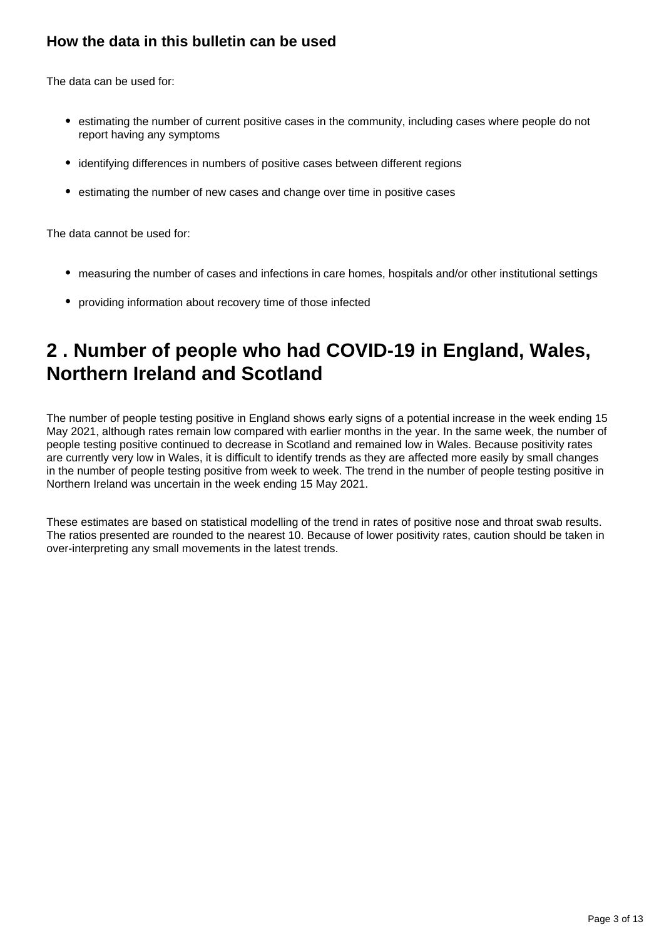## **How the data in this bulletin can be used**

The data can be used for:

- estimating the number of current positive cases in the community, including cases where people do not report having any symptoms
- identifying differences in numbers of positive cases between different regions
- estimating the number of new cases and change over time in positive cases

The data cannot be used for:

- measuring the number of cases and infections in care homes, hospitals and/or other institutional settings
- providing information about recovery time of those infected

## <span id="page-2-0"></span>**2 . Number of people who had COVID-19 in England, Wales, Northern Ireland and Scotland**

The number of people testing positive in England shows early signs of a potential increase in the week ending 15 May 2021, although rates remain low compared with earlier months in the year. In the same week, the number of people testing positive continued to decrease in Scotland and remained low in Wales. Because positivity rates are currently very low in Wales, it is difficult to identify trends as they are affected more easily by small changes in the number of people testing positive from week to week. The trend in the number of people testing positive in Northern Ireland was uncertain in the week ending 15 May 2021.

These estimates are based on statistical modelling of the trend in rates of positive nose and throat swab results. The ratios presented are rounded to the nearest 10. Because of lower positivity rates, caution should be taken in over-interpreting any small movements in the latest trends.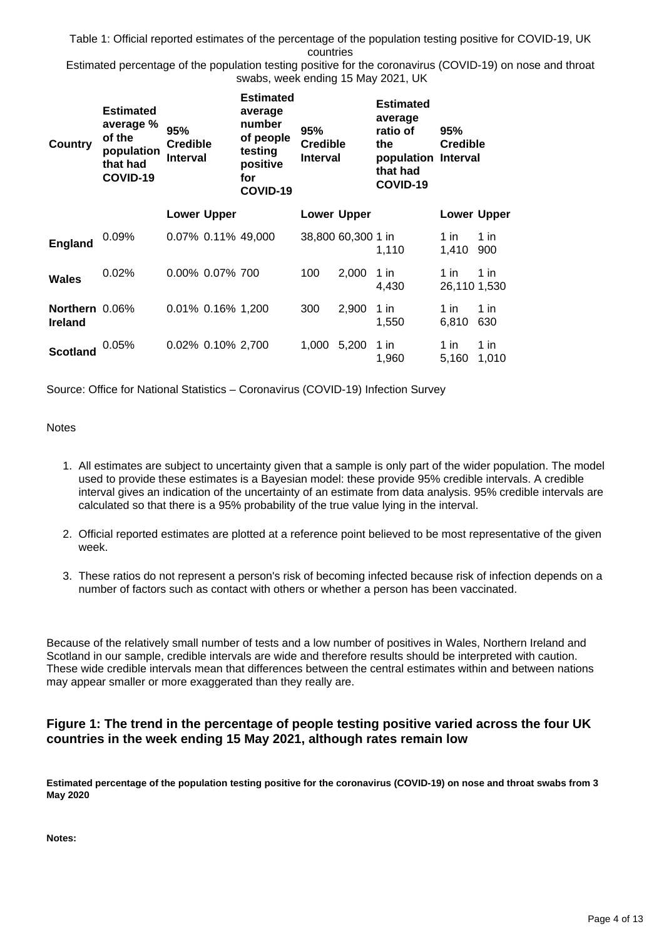Table 1: Official reported estimates of the percentage of the population testing positive for COVID-19, UK countries

Estimated percentage of the population testing positive for the coronavirus (COVID-19) on nose and throat swabs, week ending 15 May 2021, UK

| <b>Country</b>                   | <b>Estimated</b><br>average %<br>of the<br>population<br>that had<br>COVID-19 | 95%<br><b>Credible</b><br><b>Interval</b> |                    | <b>Estimated</b><br>average<br>number<br>of people<br>testing<br>positive<br>for<br>COVID-19 | 95%<br><b>Credible</b><br><b>Interval</b> |                    | <b>Estimated</b><br>average<br>ratio of<br>the<br>population Interval<br>that had<br>COVID-19 | 95%<br><b>Credible</b> |               |
|----------------------------------|-------------------------------------------------------------------------------|-------------------------------------------|--------------------|----------------------------------------------------------------------------------------------|-------------------------------------------|--------------------|-----------------------------------------------------------------------------------------------|------------------------|---------------|
|                                  |                                                                               |                                           | <b>Lower Upper</b> |                                                                                              |                                           | <b>Lower Upper</b> |                                                                                               | <b>Lower Upper</b>     |               |
| <b>England</b>                   | $0.09\%$                                                                      |                                           |                    | 0.07% 0.11% 49,000                                                                           |                                           | 38,800 60,300 1 in | 1,110                                                                                         | 1 in<br>1,410          | 1 in<br>900   |
| <b>Wales</b>                     | 0.02%                                                                         |                                           | 0.00% 0.07% 700    |                                                                                              | 100                                       | 2.000              | 1 in<br>4,430                                                                                 | 1 in<br>26,110 1,530   | 1 in          |
| Northern 0.06%<br><b>Ireland</b> |                                                                               |                                           | 0.01% 0.16% 1,200  |                                                                                              | 300                                       | 2,900              | 1 in<br>1,550                                                                                 | 1 in.<br>6,810         | 1 in<br>630   |
| <b>Scotland</b>                  | 0.05%                                                                         |                                           | 0.02% 0.10% 2,700  |                                                                                              | 1,000                                     | 5,200              | 1 in<br>1,960                                                                                 | 1 in<br>5,160          | 1 in<br>1,010 |

Source: Office for National Statistics – Coronavirus (COVID-19) Infection Survey

#### **Notes**

- 1. All estimates are subject to uncertainty given that a sample is only part of the wider population. The model used to provide these estimates is a Bayesian model: these provide 95% credible intervals. A credible interval gives an indication of the uncertainty of an estimate from data analysis. 95% credible intervals are calculated so that there is a 95% probability of the true value lying in the interval.
- 2. Official reported estimates are plotted at a reference point believed to be most representative of the given week.
- 3. These ratios do not represent a person's risk of becoming infected because risk of infection depends on a number of factors such as contact with others or whether a person has been vaccinated.

Because of the relatively small number of tests and a low number of positives in Wales, Northern Ireland and Scotland in our sample, credible intervals are wide and therefore results should be interpreted with caution. These wide credible intervals mean that differences between the central estimates within and between nations may appear smaller or more exaggerated than they really are.

### **Figure 1: The trend in the percentage of people testing positive varied across the four UK countries in the week ending 15 May 2021, although rates remain low**

**Estimated percentage of the population testing positive for the coronavirus (COVID-19) on nose and throat swabs from 3 May 2020**

**Notes:**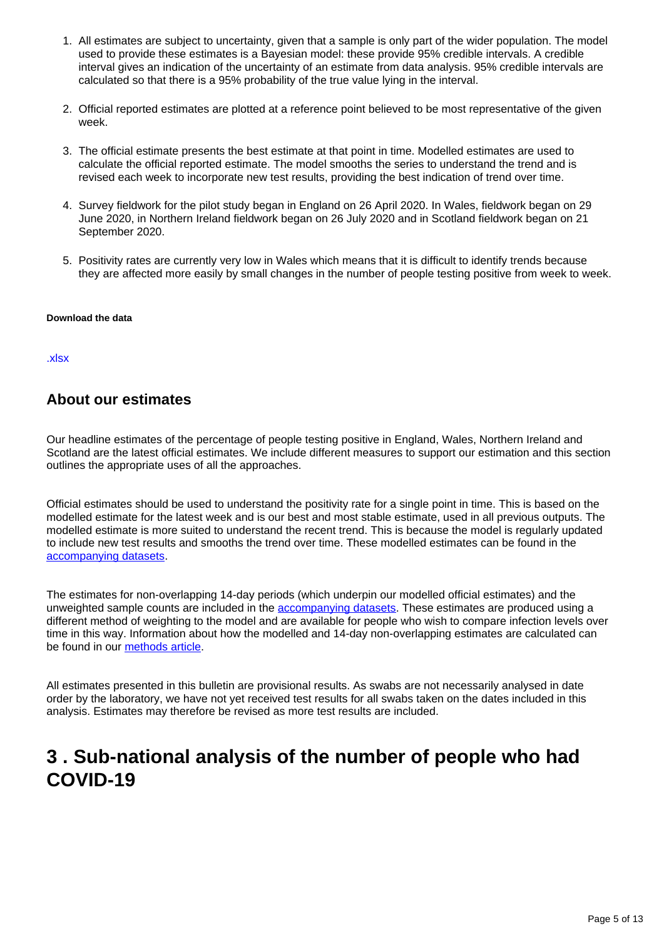- 1. All estimates are subject to uncertainty, given that a sample is only part of the wider population. The model used to provide these estimates is a Bayesian model: these provide 95% credible intervals. A credible interval gives an indication of the uncertainty of an estimate from data analysis. 95% credible intervals are calculated so that there is a 95% probability of the true value lying in the interval.
- 2. Official reported estimates are plotted at a reference point believed to be most representative of the given week.
- 3. The official estimate presents the best estimate at that point in time. Modelled estimates are used to calculate the official reported estimate. The model smooths the series to understand the trend and is revised each week to incorporate new test results, providing the best indication of trend over time.
- 4. Survey fieldwork for the pilot study began in England on 26 April 2020. In Wales, fieldwork began on 29 June 2020, in Northern Ireland fieldwork began on 26 July 2020 and in Scotland fieldwork began on 21 September 2020.
- 5. Positivity rates are currently very low in Wales which means that it is difficult to identify trends because they are affected more easily by small changes in the number of people testing positive from week to week.

#### **Download the data**

#### [.xlsx](https://www.ons.gov.uk/visualisations/dvc1383/officialestimates/datadownload.xlsx)

### **About our estimates**

Our headline estimates of the percentage of people testing positive in England, Wales, Northern Ireland and Scotland are the latest official estimates. We include different measures to support our estimation and this section outlines the appropriate uses of all the approaches.

Official estimates should be used to understand the positivity rate for a single point in time. This is based on the modelled estimate for the latest week and is our best and most stable estimate, used in all previous outputs. The modelled estimate is more suited to understand the recent trend. This is because the model is regularly updated to include new test results and smooths the trend over time. These modelled estimates can be found in the [accompanying datasets.](https://www.ons.gov.uk/peoplepopulationandcommunity/healthandsocialcare/conditionsanddiseases/bulletins/coronaviruscovid19infectionsurveypilot/21may2021/relateddata)

The estimates for non-overlapping 14-day periods (which underpin our modelled official estimates) and the unweighted sample counts are included in the [accompanying datasets](https://www.ons.gov.uk/peoplepopulationandcommunity/healthandsocialcare/conditionsanddiseases/bulletins/coronaviruscovid19infectionsurveypilot/21may2021/relateddata). These estimates are produced using a different method of weighting to the model and are available for people who wish to compare infection levels over time in this way. Information about how the modelled and 14-day non-overlapping estimates are calculated can be found in our [methods article](https://www.ons.gov.uk/peoplepopulationandcommunity/healthandsocialcare/conditionsanddiseases/methodologies/covid19infectionsurveypilotmethodsandfurtherinformation).

All estimates presented in this bulletin are provisional results. As swabs are not necessarily analysed in date order by the laboratory, we have not yet received test results for all swabs taken on the dates included in this analysis. Estimates may therefore be revised as more test results are included.

## <span id="page-4-0"></span>**3 . Sub-national analysis of the number of people who had COVID-19**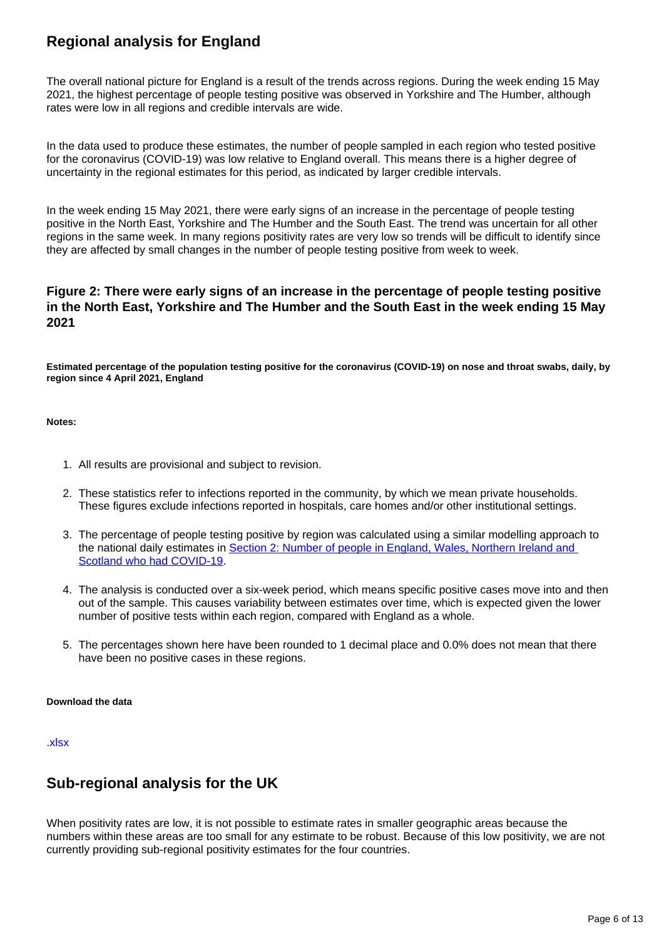## **Regional analysis for England**

The overall national picture for England is a result of the trends across regions. During the week ending 15 May 2021, the highest percentage of people testing positive was observed in Yorkshire and The Humber, although rates were low in all regions and credible intervals are wide.

In the data used to produce these estimates, the number of people sampled in each region who tested positive for the coronavirus (COVID-19) was low relative to England overall. This means there is a higher degree of uncertainty in the regional estimates for this period, as indicated by larger credible intervals.

In the week ending 15 May 2021, there were early signs of an increase in the percentage of people testing positive in the North East, Yorkshire and The Humber and the South East. The trend was uncertain for all other regions in the same week. In many regions positivity rates are very low so trends will be difficult to identify since they are affected by small changes in the number of people testing positive from week to week.

### **Figure 2: There were early signs of an increase in the percentage of people testing positive in the North East, Yorkshire and The Humber and the South East in the week ending 15 May 2021**

**Estimated percentage of the population testing positive for the coronavirus (COVID-19) on nose and throat swabs, daily, by region since 4 April 2021, England**

#### **Notes:**

- 1. All results are provisional and subject to revision.
- 2. These statistics refer to infections reported in the community, by which we mean private households. These figures exclude infections reported in hospitals, care homes and/or other institutional settings.
- 3. The percentage of people testing positive by region was calculated using a similar modelling approach to the national daily estimates in [Section 2: Number of people in England, Wales, Northern Ireland and](https://www.ons.gov.uk/peoplepopulationandcommunity/healthandsocialcare/conditionsanddiseases/bulletins/coronaviruscovid19infectionsurveypilot/21may2021#number-of-people-who-had-covid-19-in-england-wales-northern-ireland-and-scotland)  [Scotland who had COVID-19](https://www.ons.gov.uk/peoplepopulationandcommunity/healthandsocialcare/conditionsanddiseases/bulletins/coronaviruscovid19infectionsurveypilot/21may2021#number-of-people-who-had-covid-19-in-england-wales-northern-ireland-and-scotland).
- 4. The analysis is conducted over a six-week period, which means specific positive cases move into and then out of the sample. This causes variability between estimates over time, which is expected given the lower number of positive tests within each region, compared with England as a whole.
- 5. The percentages shown here have been rounded to 1 decimal place and 0.0% does not mean that there have been no positive cases in these regions.

#### **Download the data**

[.xlsx](https://www.ons.gov.uk/visualisations/dvc1383/region/datadownload.xlsx)

## **Sub-regional analysis for the UK**

When positivity rates are low, it is not possible to estimate rates in smaller geographic areas because the numbers within these areas are too small for any estimate to be robust. Because of this low positivity, we are not currently providing sub-regional positivity estimates for the four countries.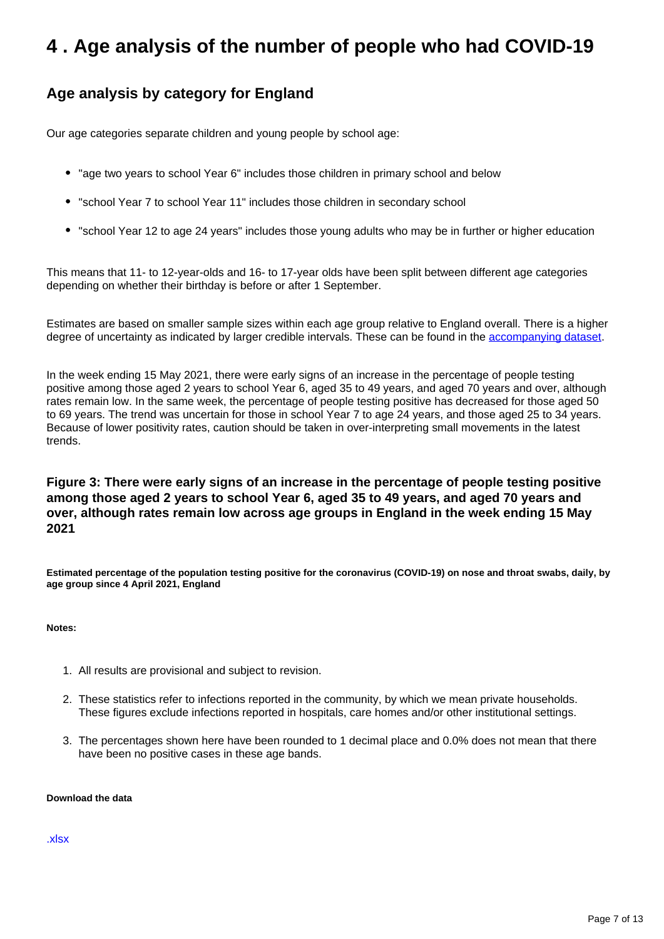## <span id="page-6-0"></span>**4 . Age analysis of the number of people who had COVID-19**

## **Age analysis by category for England**

Our age categories separate children and young people by school age:

- "age two years to school Year 6" includes those children in primary school and below
- "school Year 7 to school Year 11" includes those children in secondary school
- "school Year 12 to age 24 years" includes those young adults who may be in further or higher education

This means that 11- to 12-year-olds and 16- to 17-year olds have been split between different age categories depending on whether their birthday is before or after 1 September.

Estimates are based on smaller sample sizes within each age group relative to England overall. There is a higher degree of uncertainty as indicated by larger credible intervals. These can be found in the [accompanying dataset.](https://www.ons.gov.uk/peoplepopulationandcommunity/healthandsocialcare/conditionsanddiseases/datasets/coronaviruscovid19infectionsurveydata)

In the week ending 15 May 2021, there were early signs of an increase in the percentage of people testing positive among those aged 2 years to school Year 6, aged 35 to 49 years, and aged 70 years and over, although rates remain low. In the same week, the percentage of people testing positive has decreased for those aged 50 to 69 years. The trend was uncertain for those in school Year 7 to age 24 years, and those aged 25 to 34 years. Because of lower positivity rates, caution should be taken in over-interpreting small movements in the latest trends.

### **Figure 3: There were early signs of an increase in the percentage of people testing positive among those aged 2 years to school Year 6, aged 35 to 49 years, and aged 70 years and over, although rates remain low across age groups in England in the week ending 15 May 2021**

**Estimated percentage of the population testing positive for the coronavirus (COVID-19) on nose and throat swabs, daily, by age group since 4 April 2021, England**

**Notes:**

- 1. All results are provisional and subject to revision.
- 2. These statistics refer to infections reported in the community, by which we mean private households. These figures exclude infections reported in hospitals, care homes and/or other institutional settings.
- 3. The percentages shown here have been rounded to 1 decimal place and 0.0% does not mean that there have been no positive cases in these age bands.

#### **Download the data**

[.xlsx](https://www.ons.gov.uk/visualisations/dvc1383/age/datadownload.xlsx)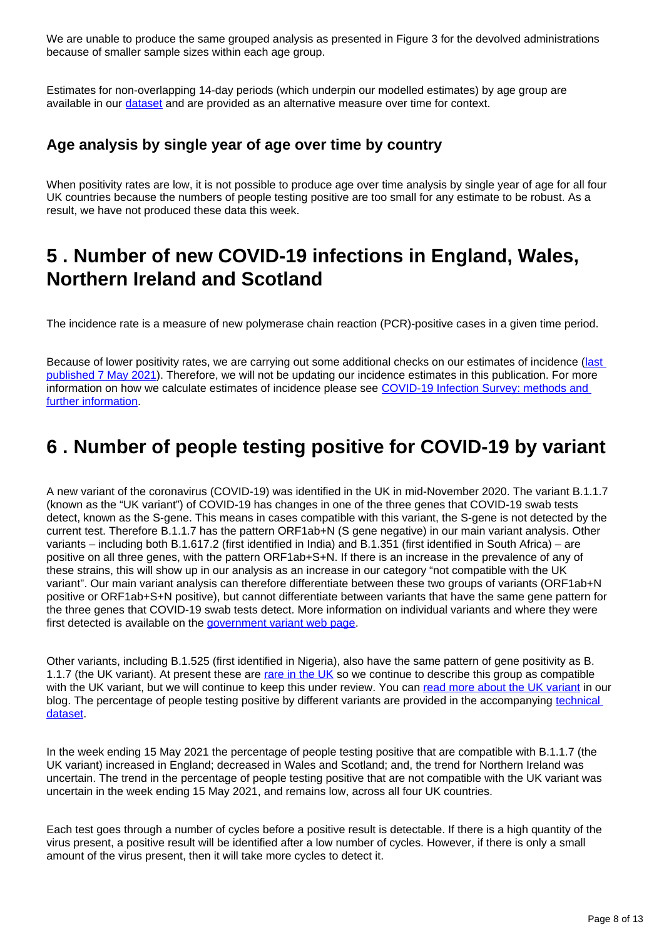We are unable to produce the same grouped analysis as presented in Figure 3 for the devolved administrations because of smaller sample sizes within each age group.

Estimates for non-overlapping 14-day periods (which underpin our modelled estimates) by age group are available in our [dataset](https://www.ons.gov.uk/peoplepopulationandcommunity/healthandsocialcare/conditionsanddiseases/datasets/coronaviruscovid19infectionsurveydata) and are provided as an alternative measure over time for context.

## **Age analysis by single year of age over time by country**

When positivity rates are low, it is not possible to produce age over time analysis by single year of age for all four UK countries because the numbers of people testing positive are too small for any estimate to be robust. As a result, we have not produced these data this week.

## <span id="page-7-0"></span>**5 . Number of new COVID-19 infections in England, Wales, Northern Ireland and Scotland**

The incidence rate is a measure of new polymerase chain reaction (PCR)-positive cases in a given time period.

Because of lower positivity rates, we are carrying out some additional checks on our estimates of incidence (last [published 7 May 2021](https://www.ons.gov.uk/peoplepopulationandcommunity/healthandsocialcare/conditionsanddiseases/bulletins/coronaviruscovid19infectionsurveypilot/7may2021)). Therefore, we will not be updating our incidence estimates in this publication. For more information on how we calculate estimates of incidence please see COVID-19 Infection Survey: methods and [further information.](https://www.ons.gov.uk/peoplepopulationandcommunity/healthandsocialcare/conditionsanddiseases/methodologies/covid19infectionsurveypilotmethodsandfurtherinformation)

## <span id="page-7-1"></span>**6 . Number of people testing positive for COVID-19 by variant**

A new variant of the coronavirus (COVID-19) was identified in the UK in mid-November 2020. The variant B.1.1.7 (known as the "UK variant") of COVID-19 has changes in one of the three genes that COVID-19 swab tests detect, known as the S-gene. This means in cases compatible with this variant, the S-gene is not detected by the current test. Therefore B.1.1.7 has the pattern ORF1ab+N (S gene negative) in our main variant analysis. Other variants – including both B.1.617.2 (first identified in India) and B.1.351 (first identified in South Africa) – are positive on all three genes, with the pattern ORF1ab+S+N. If there is an increase in the prevalence of any of these strains, this will show up in our analysis as an increase in our category "not compatible with the UK variant". Our main variant analysis can therefore differentiate between these two groups of variants (ORF1ab+N positive or ORF1ab+S+N positive), but cannot differentiate between variants that have the same gene pattern for the three genes that COVID-19 swab tests detect. More information on individual variants and where they were first detected is available on the [government variant web page.](https://www.gov.uk/government/publications/covid-19-variants-genomically-confirmed-case-numbers/variants-distribution-of-cases-data)

Other variants, including B.1.525 (first identified in Nigeria), also have the same pattern of gene positivity as B. 1.1.7 (the UK variant). At present these are [rare in the UK](https://www.gov.uk/government/publications/covid-19-variants-genomically-confirmed-case-numbers/variants-distribution-of-cases-data) so we continue to describe this group as compatible with the UK variant, but we will continue to keep this under review. You can [read more about the UK variant](https://blog.ons.gov.uk/2021/01/29/understanding-the-uk-variant-how-the-ons-is-monitoring-the-new-strain-of-covid-19/) in our blog. The percentage of people testing positive by different variants are provided in the accompanying [technical](https://www.ons.gov.uk/peoplepopulationandcommunity/healthandsocialcare/conditionsanddiseases/datasets/covid19infectionsurveytechnicaldata)  [dataset.](https://www.ons.gov.uk/peoplepopulationandcommunity/healthandsocialcare/conditionsanddiseases/datasets/covid19infectionsurveytechnicaldata)

In the week ending 15 May 2021 the percentage of people testing positive that are compatible with B.1.1.7 (the UK variant) increased in England; decreased in Wales and Scotland; and, the trend for Northern Ireland was uncertain. The trend in the percentage of people testing positive that are not compatible with the UK variant was uncertain in the week ending 15 May 2021, and remains low, across all four UK countries.

Each test goes through a number of cycles before a positive result is detectable. If there is a high quantity of the virus present, a positive result will be identified after a low number of cycles. However, if there is only a small amount of the virus present, then it will take more cycles to detect it.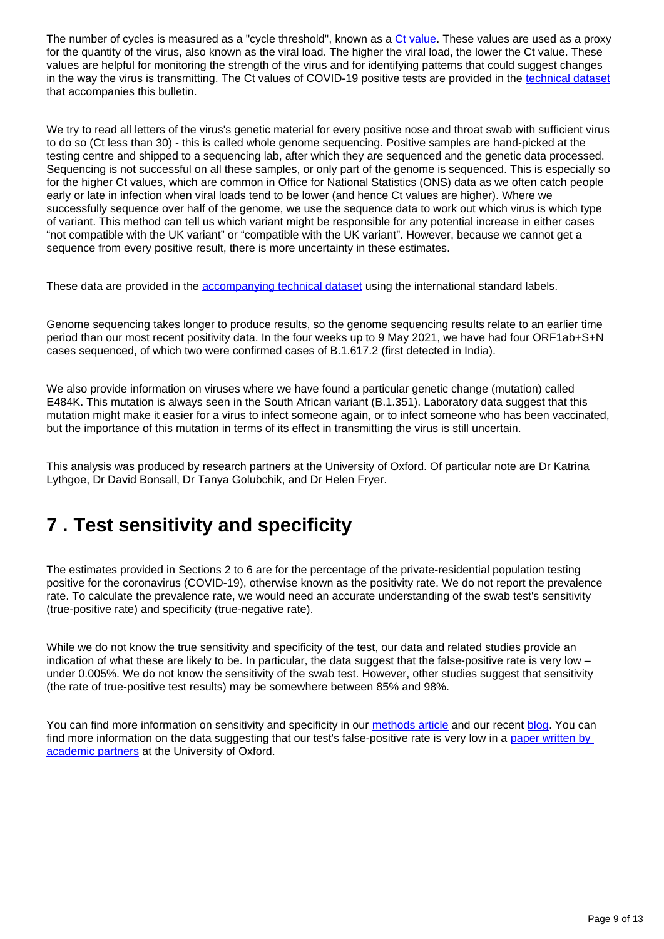The number of cycles is measured as a "cycle threshold", known as a [Ct value](https://blog.ons.gov.uk/2021/04/09/accuracy-and-confidence-why-we-trust-the-data-from-the-covid-19-infection-survey/). These values are used as a proxy for the quantity of the virus, also known as the viral load. The higher the viral load, the lower the Ct value. These values are helpful for monitoring the strength of the virus and for identifying patterns that could suggest changes in the way the virus is transmitting. The Ct values of COVID-19 positive tests are provided in the [technical dataset](https://www.ons.gov.uk/peoplepopulationandcommunity/healthandsocialcare/conditionsanddiseases/datasets/covid19infectionsurveytechnicaldata) that accompanies this bulletin.

We try to read all letters of the virus's genetic material for every positive nose and throat swab with sufficient virus to do so (Ct less than 30) - this is called whole genome sequencing. Positive samples are hand-picked at the testing centre and shipped to a sequencing lab, after which they are sequenced and the genetic data processed. Sequencing is not successful on all these samples, or only part of the genome is sequenced. This is especially so for the higher Ct values, which are common in Office for National Statistics (ONS) data as we often catch people early or late in infection when viral loads tend to be lower (and hence Ct values are higher). Where we successfully sequence over half of the genome, we use the sequence data to work out which virus is which type of variant. This method can tell us which variant might be responsible for any potential increase in either cases "not compatible with the UK variant" or "compatible with the UK variant". However, because we cannot get a sequence from every positive result, there is more uncertainty in these estimates.

These data are provided in the [accompanying technical dataset](https://www.ons.gov.uk/peoplepopulationandcommunity/healthandsocialcare/conditionsanddiseases/datasets/covid19infectionsurveytechnicaldata) using the international standard labels.

Genome sequencing takes longer to produce results, so the genome sequencing results relate to an earlier time period than our most recent positivity data. In the four weeks up to 9 May 2021, we have had four ORF1ab+S+N cases sequenced, of which two were confirmed cases of B.1.617.2 (first detected in India).

We also provide information on viruses where we have found a particular genetic change (mutation) called E484K. This mutation is always seen in the South African variant (B.1.351). Laboratory data suggest that this mutation might make it easier for a virus to infect someone again, or to infect someone who has been vaccinated, but the importance of this mutation in terms of its effect in transmitting the virus is still uncertain.

This analysis was produced by research partners at the University of Oxford. Of particular note are Dr Katrina Lythgoe, Dr David Bonsall, Dr Tanya Golubchik, and Dr Helen Fryer.

## <span id="page-8-0"></span>**7 . Test sensitivity and specificity**

The estimates provided in Sections 2 to 6 are for the percentage of the private-residential population testing positive for the coronavirus (COVID-19), otherwise known as the positivity rate. We do not report the prevalence rate. To calculate the prevalence rate, we would need an accurate understanding of the swab test's sensitivity (true-positive rate) and specificity (true-negative rate).

While we do not know the true sensitivity and specificity of the test, our data and related studies provide an indication of what these are likely to be. In particular, the data suggest that the false-positive rate is very low under 0.005%. We do not know the sensitivity of the swab test. However, other studies suggest that sensitivity (the rate of true-positive test results) may be somewhere between 85% and 98%.

You can find more information on sensitivity and specificity in our [methods article](https://www.ons.gov.uk/peoplepopulationandcommunity/healthandsocialcare/conditionsanddiseases/methodologies/covid19infectionsurveypilotmethodsandfurtherinformation#test-sensitivity-and-specificity) and our recent [blog](https://blog.ons.gov.uk/2021/04/09/accuracy-and-confidence-why-we-trust-the-data-from-the-covid-19-infection-survey/). You can find more information on the data suggesting that our test's false-positive rate is very low in a paper written by [academic partners](https://www.medrxiv.org/content/10.1101/2020.10.25.20219048v2) at the University of Oxford.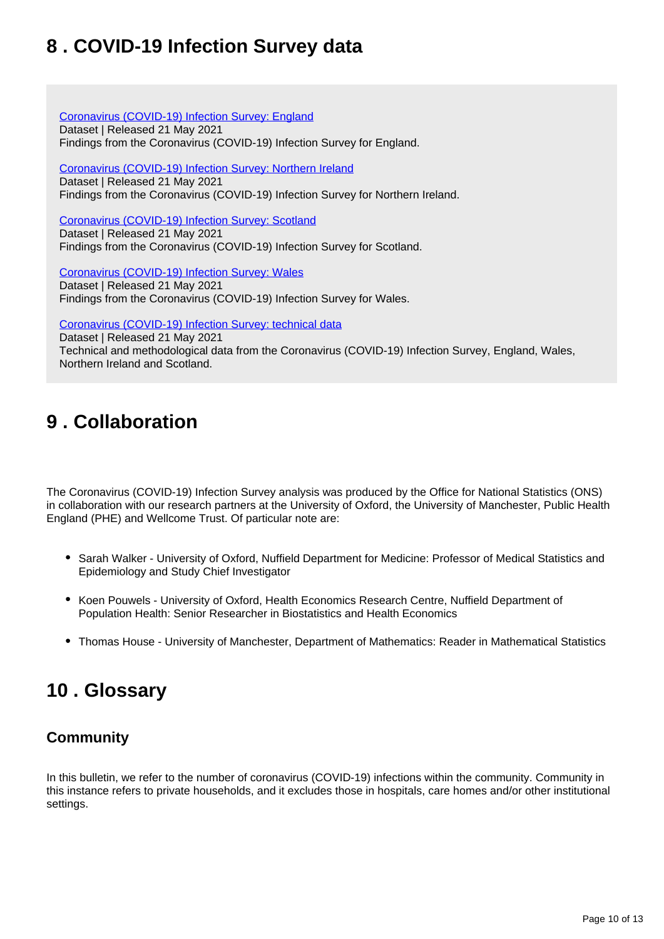## <span id="page-9-0"></span>**8 . COVID-19 Infection Survey data**

[Coronavirus \(COVID-19\) Infection Survey: England](https://www.ons.gov.uk/peoplepopulationandcommunity/healthandsocialcare/conditionsanddiseases/datasets/coronaviruscovid19infectionsurveydata) Dataset | Released 21 May 2021 Findings from the Coronavirus (COVID-19) Infection Survey for England.

[Coronavirus \(COVID-19\) Infection Survey: Northern Ireland](https://www.ons.gov.uk/peoplepopulationandcommunity/healthandsocialcare/conditionsanddiseases/datasets/covid19infectionsurveynorthernireland) Dataset | Released 21 May 2021 Findings from the Coronavirus (COVID-19) Infection Survey for Northern Ireland.

[Coronavirus \(COVID-19\) Infection Survey: Scotland](https://www.ons.gov.uk/peoplepopulationandcommunity/healthandsocialcare/conditionsanddiseases/datasets/covid19infectionsurveyscotland) Dataset | Released 21 May 2021 Findings from the Coronavirus (COVID-19) Infection Survey for Scotland.

[Coronavirus \(COVID-19\) Infection Survey: Wales](https://www.ons.gov.uk/peoplepopulationandcommunity/healthandsocialcare/conditionsanddiseases/datasets/covid19infectionsurveywales) Dataset | Released 21 May 2021 Findings from the Coronavirus (COVID-19) Infection Survey for Wales.

[Coronavirus \(COVID-19\) Infection Survey: technical data](https://www.ons.gov.uk/peoplepopulationandcommunity/healthandsocialcare/conditionsanddiseases/datasets/covid19infectionsurveytechnicaldata)

Dataset | Released 21 May 2021 Technical and methodological data from the Coronavirus (COVID-19) Infection Survey, England, Wales, Northern Ireland and Scotland.

## <span id="page-9-1"></span>**9 . Collaboration**

The Coronavirus (COVID-19) Infection Survey analysis was produced by the Office for National Statistics (ONS) in collaboration with our research partners at the University of Oxford, the University of Manchester, Public Health England (PHE) and Wellcome Trust. Of particular note are:

- Sarah Walker University of Oxford, Nuffield Department for Medicine: Professor of Medical Statistics and Epidemiology and Study Chief Investigator
- Koen Pouwels University of Oxford, Health Economics Research Centre, Nuffield Department of Population Health: Senior Researcher in Biostatistics and Health Economics
- Thomas House University of Manchester, Department of Mathematics: Reader in Mathematical Statistics

## <span id="page-9-2"></span>**10 . Glossary**

## **Community**

In this bulletin, we refer to the number of coronavirus (COVID-19) infections within the community. Community in this instance refers to private households, and it excludes those in hospitals, care homes and/or other institutional settings.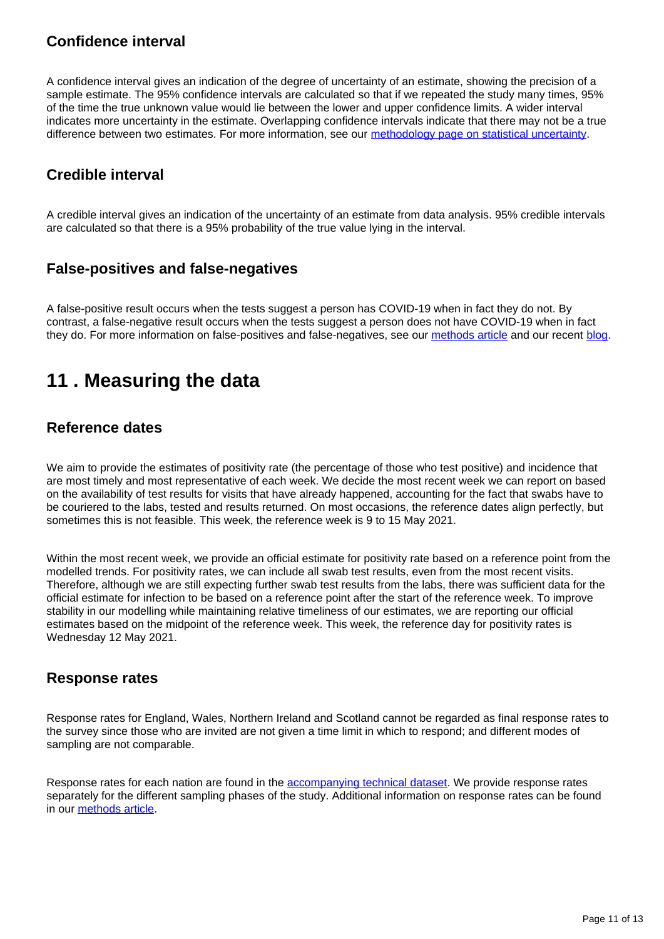## **Confidence interval**

A confidence interval gives an indication of the degree of uncertainty of an estimate, showing the precision of a sample estimate. The 95% confidence intervals are calculated so that if we repeated the study many times, 95% of the time the true unknown value would lie between the lower and upper confidence limits. A wider interval indicates more uncertainty in the estimate. Overlapping confidence intervals indicate that there may not be a true difference between two estimates. For more information, see our [methodology page on statistical uncertainty](https://www.ons.gov.uk/methodology/methodologytopicsandstatisticalconcepts/uncertaintyandhowwemeasureit).

## **Credible interval**

A credible interval gives an indication of the uncertainty of an estimate from data analysis. 95% credible intervals are calculated so that there is a 95% probability of the true value lying in the interval.

## **False-positives and false-negatives**

A false-positive result occurs when the tests suggest a person has COVID-19 when in fact they do not. By contrast, a false-negative result occurs when the tests suggest a person does not have COVID-19 when in fact they do. For more information on false-positives and false-negatives, see our [methods article](https://www.ons.gov.uk/peoplepopulationandcommunity/healthandsocialcare/conditionsanddiseases/methodologies/covid19infectionsurveypilotmethodsandfurtherinformation#test-sensitivity-and-specificity) and our recent [blog](https://blog.ons.gov.uk/2021/04/09/accuracy-and-confidence-why-we-trust-the-data-from-the-covid-19-infection-survey/).

## <span id="page-10-0"></span>**11 . Measuring the data**

### **Reference dates**

We aim to provide the estimates of positivity rate (the percentage of those who test positive) and incidence that are most timely and most representative of each week. We decide the most recent week we can report on based on the availability of test results for visits that have already happened, accounting for the fact that swabs have to be couriered to the labs, tested and results returned. On most occasions, the reference dates align perfectly, but sometimes this is not feasible. This week, the reference week is 9 to 15 May 2021.

Within the most recent week, we provide an official estimate for positivity rate based on a reference point from the modelled trends. For positivity rates, we can include all swab test results, even from the most recent visits. Therefore, although we are still expecting further swab test results from the labs, there was sufficient data for the official estimate for infection to be based on a reference point after the start of the reference week. To improve stability in our modelling while maintaining relative timeliness of our estimates, we are reporting our official estimates based on the midpoint of the reference week. This week, the reference day for positivity rates is Wednesday 12 May 2021.

### **Response rates**

Response rates for England, Wales, Northern Ireland and Scotland cannot be regarded as final response rates to the survey since those who are invited are not given a time limit in which to respond; and different modes of sampling are not comparable.

Response rates for each nation are found in the [accompanying technical dataset](https://www.ons.gov.uk/peoplepopulationandcommunity/healthandsocialcare/conditionsanddiseases/datasets/covid19infectionsurveytechnicaldata). We provide response rates separately for the different sampling phases of the study. Additional information on response rates can be found in our [methods article](https://www.ons.gov.uk/peoplepopulationandcommunity/healthandsocialcare/conditionsanddiseases/methodologies/covid19infectionsurveypilotmethodsandfurtherinformation#study-design-sampling).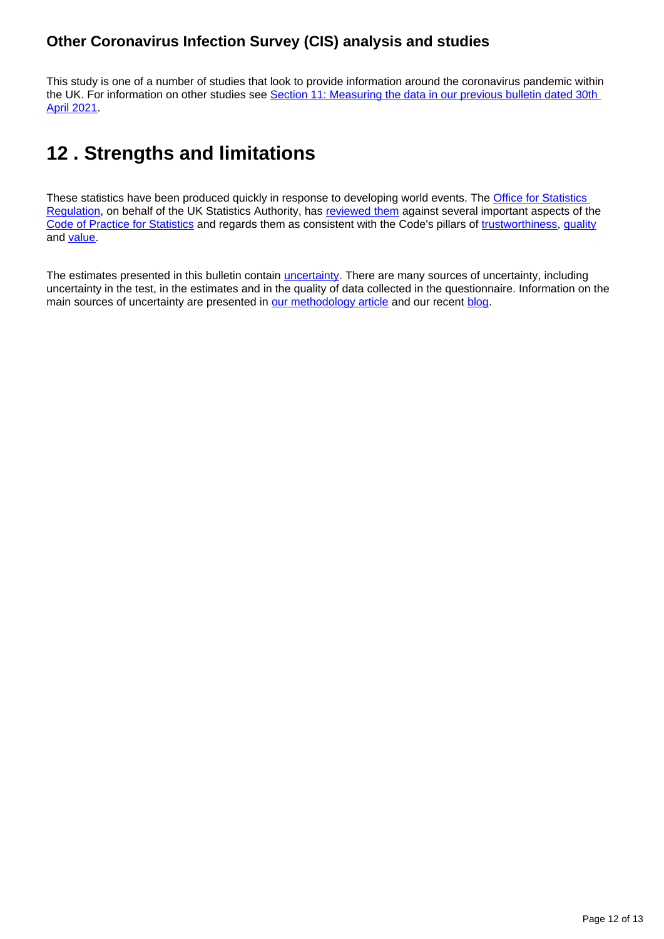## **Other Coronavirus Infection Survey (CIS) analysis and studies**

This study is one of a number of studies that look to provide information around the coronavirus pandemic within the UK. For information on other studies see Section 11: Measuring the data in our previous bulletin dated 30th [April 2021](https://www.ons.gov.uk/peoplepopulationandcommunity/healthandsocialcare/conditionsanddiseases/bulletins/coronaviruscovid19infectionsurveypilot/30april2021#measuring-the-data).

## <span id="page-11-0"></span>**12 . Strengths and limitations**

These statistics have been produced quickly in response to developing world events. The **Office for Statistics** [Regulation](https://osr.statisticsauthority.gov.uk/correspondence/ed-humpherson-to-iain-bell-ons-covid-19-infection-survey-statistics/), on behalf of the UK Statistics Authority, has [reviewed them](https://www.statisticsauthority.gov.uk/correspondence/review-of-coronavirus-covid-19-infection-survey/) against several important aspects of the [Code of Practice for Statistics](https://code.statisticsauthority.gov.uk/) and regards them as consistent with the Code's pillars of [trustworthiness,](https://code.statisticsauthority.gov.uk/the-code/trustworthiness/) [quality](https://code.statisticsauthority.gov.uk/the-code/quality/) and [value.](https://code.statisticsauthority.gov.uk/the-code/value/)

The estimates presented in this bulletin contain *[uncertainty](https://www.ons.gov.uk/methodology/methodologytopicsandstatisticalconcepts/uncertaintyandhowwemeasureit)*. There are many sources of uncertainty, including uncertainty in the test, in the estimates and in the quality of data collected in the questionnaire. Information on the main sources of uncertainty are presented in [our methodology article](https://www.ons.gov.uk/peoplepopulationandcommunity/healthandsocialcare/conditionsanddiseases/methodologies/covid19infectionsurveypilotmethodsandfurtherinformation#uncertainty-in-the-data) and our recent [blog](https://blog.ons.gov.uk/2021/04/09/accuracy-and-confidence-why-we-trust-the-data-from-the-covid-19-infection-survey/).